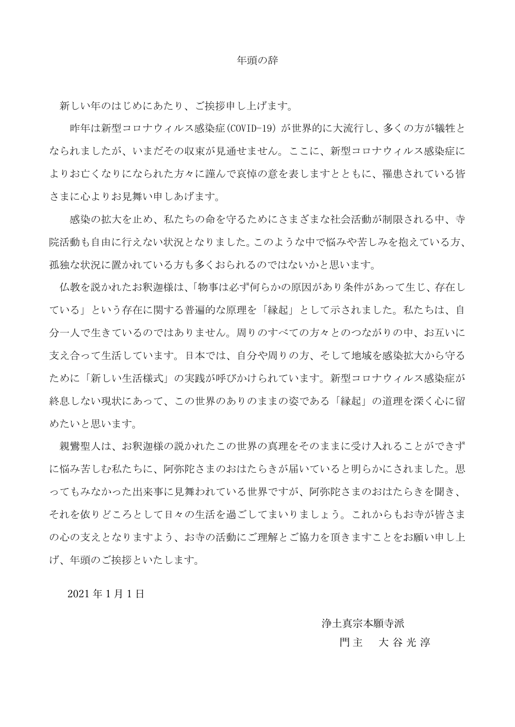## 年頭の辞

新しい年のはじめにあたり、ご挨拶申し上げます。

昨年は新型コロナウィルス感染症(COVID-19)が世界的に大流行し、多くの方が犠牲と なられましたが、いまだその収束が見通せません。ここに、新型コロナウィルス感染症に よりお亡くなりになられた方々に謹んで哀悼の意を表しますとともに、罹患されている皆 さまに心よりお見舞い申しあげます。

感染の拡大を止め、私たちの命を守るためにさまざまな社会活動が制限される中、寺 院活動も自由に行えない状況となりました。このような中で悩みや苦しみを抱えている方、 孤独な状況に置かれている方も多くおられるのではないかと思います。

仏教を説かれたお釈迦様は、「物事は必ず何らかの原因があり条件があって生じ、存在し ている」という存在に関する普遍的な原理を「縁起」として示されました。私たちは、自 分一人で生きているのではありません。周りのすべての方々とのつながりの中、お互いに 支え合って生活しています。日本では、自分や周りの方、そして地域を感染拡大から守る ために「新しい生活様式」の実践が呼びかけられています。新型コロナウィルス感染症が 終息しない現状にあって、この世界のありのままの姿である「縁起」の道理を深く心に留 めたいと思います。

親鸞聖人は、お釈迦様の説かれたこの世界の真理をそのままに受け入れることができず に悩み苦しむ私たちに、阿弥陀さまのおはたらきが届いていると明らかにされました。思 ってもみなかった出来事に見舞われている世界ですが、阿弥陀さまのおはたらきを聞き、 それを依りどころとして日々の生活を過ごしてまいりましょう。これからもお寺が皆さま の心の支えとなりますよう、お寺の活動にご理解とご協力を頂きますことをお願い申し上 げ、年頭のご挨拶といたします。

2021 年 1 月 1 日

浄土真宗本願寺派

## 門 主 大 谷 光 淳